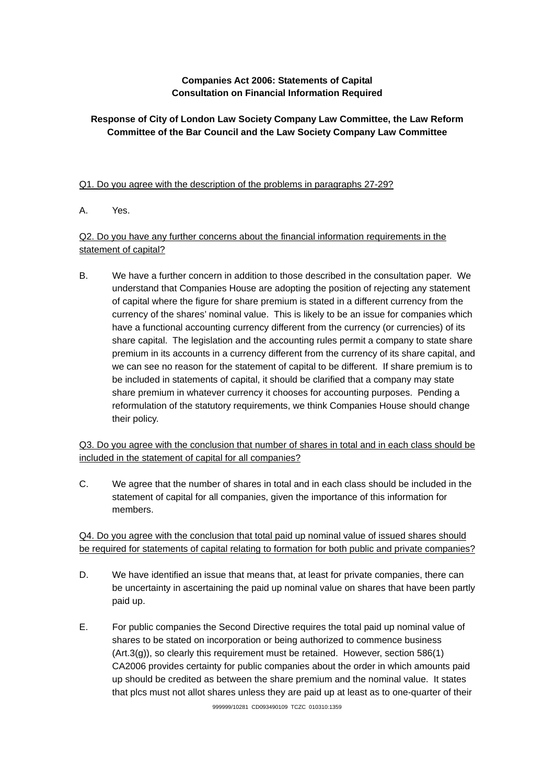# **Companies Act 2006: Statements of Capital Consultation on Financial Information Required**

# **Response of City of London Law Society Company Law Committee, the Law Reform Committee of the Bar Council and the Law Society Company Law Committee**

### Q1. Do you agree with the description of the problems in paragraphs 27-29?

A. Yes.

## Q2. Do you have any further concerns about the financial information requirements in the statement of capital?

B. We have a further concern in addition to those described in the consultation paper. We understand that Companies House are adopting the position of rejecting any statement of capital where the figure for share premium is stated in a different currency from the currency of the shares' nominal value. This is likely to be an issue for companies which have a functional accounting currency different from the currency (or currencies) of its share capital. The legislation and the accounting rules permit a company to state share premium in its accounts in a currency different from the currency of its share capital, and we can see no reason for the statement of capital to be different. If share premium is to be included in statements of capital, it should be clarified that a company may state share premium in whatever currency it chooses for accounting purposes. Pending a reformulation of the statutory requirements, we think Companies House should change their policy.

Q3. Do you agree with the conclusion that number of shares in total and in each class should be included in the statement of capital for all companies?

C. We agree that the number of shares in total and in each class should be included in the statement of capital for all companies, given the importance of this information for members.

Q4. Do you agree with the conclusion that total paid up nominal value of issued shares should be required for statements of capital relating to formation for both public and private companies?

- D. We have identified an issue that means that, at least for private companies, there can be uncertainty in ascertaining the paid up nominal value on shares that have been partly paid up.
- E. For public companies the Second Directive requires the total paid up nominal value of shares to be stated on incorporation or being authorized to commence business (Art.3(g)), so clearly this requirement must be retained. However, section 586(1) CA2006 provides certainty for public companies about the order in which amounts paid up should be credited as between the share premium and the nominal value. It states that plcs must not allot shares unless they are paid up at least as to one-quarter of their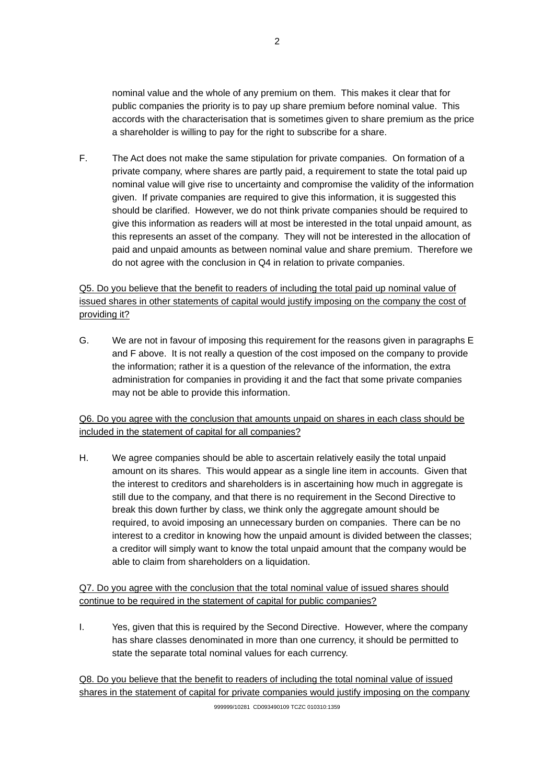nominal value and the whole of any premium on them. This makes it clear that for public companies the priority is to pay up share premium before nominal value. This accords with the characterisation that is sometimes given to share premium as the price a shareholder is willing to pay for the right to subscribe for a share.

F. The Act does not make the same stipulation for private companies. On formation of a private company, where shares are partly paid, a requirement to state the total paid up nominal value will give rise to uncertainty and compromise the validity of the information given. If private companies are required to give this information, it is suggested this should be clarified. However, we do not think private companies should be required to give this information as readers will at most be interested in the total unpaid amount, as this represents an asset of the company. They will not be interested in the allocation of paid and unpaid amounts as between nominal value and share premium. Therefore we do not agree with the conclusion in Q4 in relation to private companies.

# Q5. Do you believe that the benefit to readers of including the total paid up nominal value of issued shares in other statements of capital would justify imposing on the company the cost of providing it?

G. We are not in favour of imposing this requirement for the reasons given in paragraphs E and F above. It is not really a question of the cost imposed on the company to provide the information; rather it is a question of the relevance of the information, the extra administration for companies in providing it and the fact that some private companies may not be able to provide this information.

Q6. Do you agree with the conclusion that amounts unpaid on shares in each class should be included in the statement of capital for all companies?

H. We agree companies should be able to ascertain relatively easily the total unpaid amount on its shares. This would appear as a single line item in accounts. Given that the interest to creditors and shareholders is in ascertaining how much in aggregate is still due to the company, and that there is no requirement in the Second Directive to break this down further by class, we think only the aggregate amount should be required, to avoid imposing an unnecessary burden on companies. There can be no interest to a creditor in knowing how the unpaid amount is divided between the classes; a creditor will simply want to know the total unpaid amount that the company would be able to claim from shareholders on a liquidation.

Q7. Do you agree with the conclusion that the total nominal value of issued shares should continue to be required in the statement of capital for public companies?

I. Yes, given that this is required by the Second Directive. However, where the company has share classes denominated in more than one currency, it should be permitted to state the separate total nominal values for each currency.

Q8. Do you believe that the benefit to readers of including the total nominal value of issued shares in the statement of capital for private companies would justify imposing on the company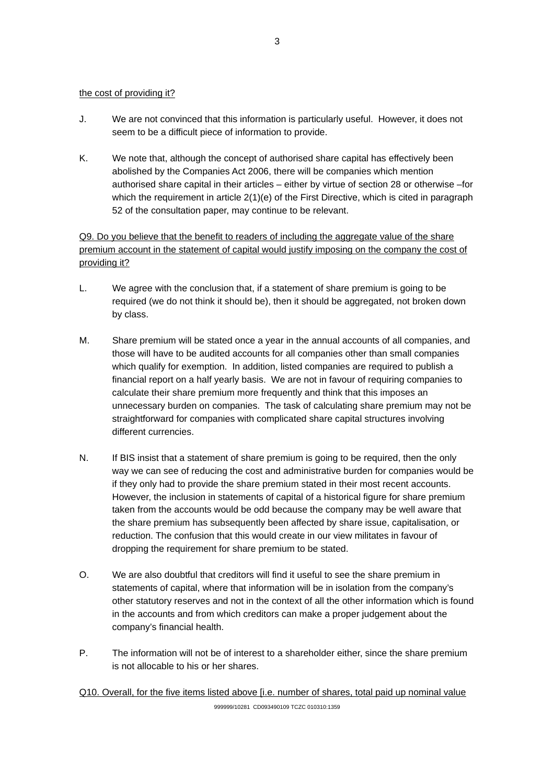### the cost of providing it?

- J. We are not convinced that this information is particularly useful. However, it does not seem to be a difficult piece of information to provide.
- K. We note that, although the concept of authorised share capital has effectively been abolished by the Companies Act 2006, there will be companies which mention authorised share capital in their articles – either by virtue of section 28 or otherwise –for which the requirement in article 2(1)(e) of the First Directive, which is cited in paragraph 52 of the consultation paper, may continue to be relevant.

Q9. Do you believe that the benefit to readers of including the aggregate value of the share premium account in the statement of capital would justify imposing on the company the cost of providing it?

- L. We agree with the conclusion that, if a statement of share premium is going to be required (we do not think it should be), then it should be aggregated, not broken down by class.
- M. Share premium will be stated once a year in the annual accounts of all companies, and those will have to be audited accounts for all companies other than small companies which qualify for exemption. In addition, listed companies are required to publish a financial report on a half yearly basis. We are not in favour of requiring companies to calculate their share premium more frequently and think that this imposes an unnecessary burden on companies. The task of calculating share premium may not be straightforward for companies with complicated share capital structures involving different currencies.
- N. If BIS insist that a statement of share premium is going to be required, then the only way we can see of reducing the cost and administrative burden for companies would be if they only had to provide the share premium stated in their most recent accounts. However, the inclusion in statements of capital of a historical figure for share premium taken from the accounts would be odd because the company may be well aware that the share premium has subsequently been affected by share issue, capitalisation, or reduction. The confusion that this would create in our view militates in favour of dropping the requirement for share premium to be stated.
- O. We are also doubtful that creditors will find it useful to see the share premium in statements of capital, where that information will be in isolation from the company's other statutory reserves and not in the context of all the other information which is found in the accounts and from which creditors can make a proper judgement about the company's financial health.
- P. The information will not be of interest to a shareholder either, since the share premium is not allocable to his or her shares.

Q10. Overall, for the five items listed above [i.e. number of shares, total paid up nominal value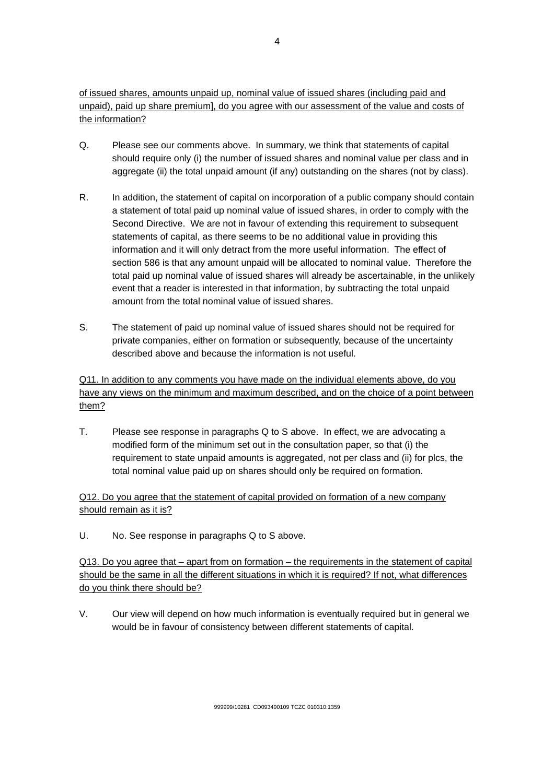of issued shares, amounts unpaid up, nominal value of issued shares (including paid and unpaid), paid up share premium], do you agree with our assessment of the value and costs of the information?

- Q. Please see our comments above. In summary, we think that statements of capital should require only (i) the number of issued shares and nominal value per class and in aggregate (ii) the total unpaid amount (if any) outstanding on the shares (not by class).
- R. In addition, the statement of capital on incorporation of a public company should contain a statement of total paid up nominal value of issued shares, in order to comply with the Second Directive. We are not in favour of extending this requirement to subsequent statements of capital, as there seems to be no additional value in providing this information and it will only detract from the more useful information. The effect of section 586 is that any amount unpaid will be allocated to nominal value. Therefore the total paid up nominal value of issued shares will already be ascertainable, in the unlikely event that a reader is interested in that information, by subtracting the total unpaid amount from the total nominal value of issued shares.
- S. The statement of paid up nominal value of issued shares should not be required for private companies, either on formation or subsequently, because of the uncertainty described above and because the information is not useful.

Q11. In addition to any comments you have made on the individual elements above, do you have any views on the minimum and maximum described, and on the choice of a point between them?

T. Please see response in paragraphs Q to S above. In effect, we are advocating a modified form of the minimum set out in the consultation paper, so that (i) the requirement to state unpaid amounts is aggregated, not per class and (ii) for plcs, the total nominal value paid up on shares should only be required on formation.

Q12. Do you agree that the statement of capital provided on formation of a new company should remain as it is?

U. No. See response in paragraphs Q to S above.

Q13. Do you agree that – apart from on formation – the requirements in the statement of capital should be the same in all the different situations in which it is required? If not, what differences do you think there should be?

V. Our view will depend on how much information is eventually required but in general we would be in favour of consistency between different statements of capital.